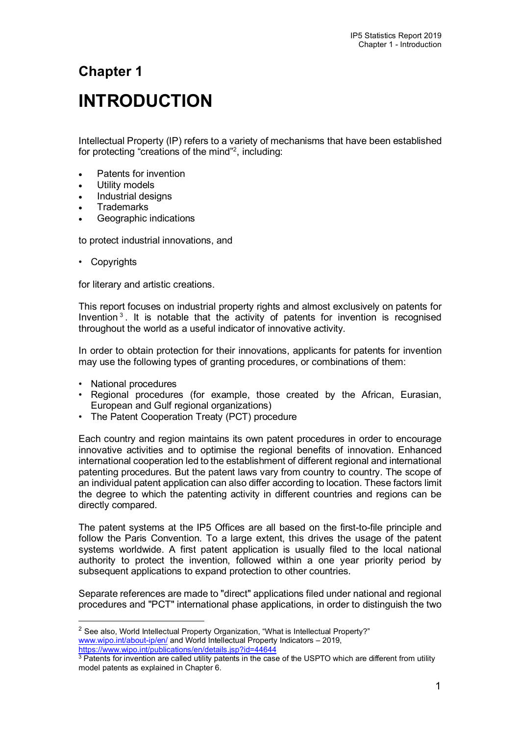# **Chapter 1**

# **INTRODUCTION**

Intellectual Property (IP) refers to a variety of mechanisms that have been established for protecting "creations of the mind["2](#page-0-0), including:

- Patents for invention
- Utility models
- Industrial designs
- **Trademarks**
- Geographic indications

to protect industrial innovations, and

• Copyrights

for literary and artistic creations.

This report focuses on industrial property rights and almost exclusively on patents for Invention [3](#page-0-1) . It is notable that the activity of patents for invention is recognised throughout the world as a useful indicator of innovative activity.

In order to obtain protection for their innovations, applicants for patents for invention may use the following types of granting procedures, or combinations of them:

- National procedures
- Regional procedures (for example, those created by the African, Eurasian, European and Gulf regional organizations)
- The Patent Cooperation Treaty (PCT) procedure

Each country and region maintains its own patent procedures in order to encourage innovative activities and to optimise the regional benefits of innovation. Enhanced international cooperation led to the establishment of different regional and international patenting procedures. But the patent laws vary from country to country. The scope of an individual patent application can also differ according to location. These factors limit the degree to which the patenting activity in different countries and regions can be directly compared.

The patent systems at the IP5 Offices are all based on the first-to-file principle and follow the Paris Convention. To a large extent, this drives the usage of the patent systems worldwide. A first patent application is usually filed to the local national authority to protect the invention, followed within a one year priority period by subsequent applications to expand protection to other countries.

Separate references are made to "direct" applications filed under national and regional procedures and "PCT" international phase applications, in order to distinguish the two

<span id="page-0-0"></span><sup>&</sup>lt;sup>2</sup> See also, World Intellectual Property Organization, "What is Intellectual Property?" [www.wipo.int/about-ip/en/](http://www.wipo.int/about-ip/en/) and World Intellectual Property Indicators - 2019, [https://www.wipo.int/publications/en/details.jsp?id=44644](https://www.wipo.int/publications/en/details.jsp?id=4464)

<span id="page-0-1"></span><sup>&</sup>lt;sup>3</sup> Patents for invention are called utility patents in the case of the USPTO which are different from utility model patents as explained in Chapter 6.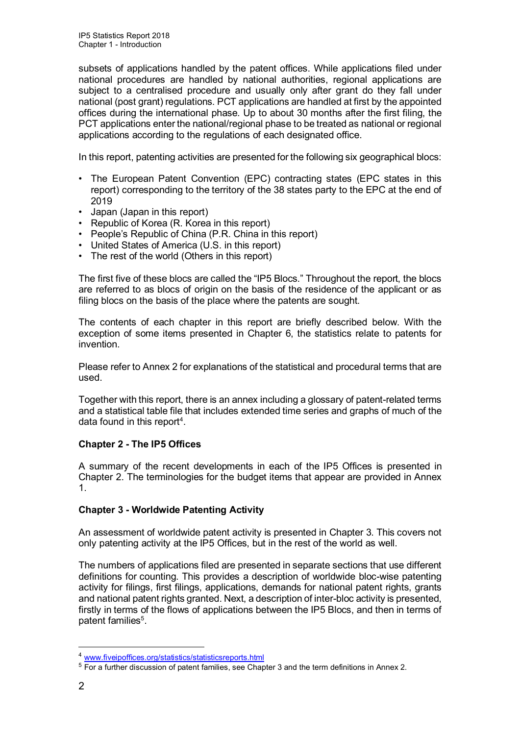subsets of applications handled by the patent offices. While applications filed under national procedures are handled by national authorities, regional applications are subject to a centralised procedure and usually only after grant do they fall under national (post grant) regulations. PCT applications are handled at first by the appointed offices during the international phase. Up to about 30 months after the first filing, the PCT applications enter the national/regional phase to be treated as national or regional applications according to the regulations of each designated office.

In this report, patenting activities are presented for the following six geographical blocs:

- The European Patent Convention (EPC) contracting states (EPC states in this report) corresponding to the territory of the 38 states party to the EPC at the end of 2019
- Japan (Japan in this report)
- Republic of Korea (R. Korea in this report)
- People's Republic of China (P.R. China in this report)
- United States of America (U.S. in this report)
- The rest of the world (Others in this report)

The first five of these blocs are called the "IP5 Blocs." Throughout the report, the blocs are referred to as blocs of origin on the basis of the residence of the applicant or as filing blocs on the basis of the place where the patents are sought.

The contents of each chapter in this report are briefly described below. With the exception of some items presented in Chapter 6, the statistics relate to patents for invention.

Please refer to Annex 2 for explanations of the statistical and procedural terms that are used.

Together with this report, there is an annex including a glossary of patent-related terms and a statistical table file that includes extended time series and graphs of much of the data found in this report[4.](#page-1-0)

# **Chapter 2 - The IP5 Offices**

A summary of the recent developments in each of the IP5 Offices is presented in Chapter 2. The terminologies for the budget items that appear are provided in Annex 1.

# **Chapter 3 - Worldwide Patenting Activity**

An assessment of worldwide patent activity is presented in Chapter 3. This covers not only patenting activity at the IP5 Offices, but in the rest of the world as well.

The numbers of applications filed are presented in separate sections that use different definitions for counting. This provides a description of worldwide bloc-wise patenting activity for filings, first filings, applications, demands for national patent rights, grants and national patent rights granted. Next, a description of inter-bloc activity is presented, firstly in terms of the flows of applications between the IP5 Blocs, and then in terms of patent families<sup>5</sup>.

<span id="page-1-0"></span><sup>4</sup> [www.fiveipoffices.org/statistics/statisticsreports.html](http://www.fiveipoffices.org/statistics/statisticsreports.html)

<span id="page-1-1"></span><sup>5</sup> For a further discussion of patent families, see Chapter 3 and the term definitions in Annex 2.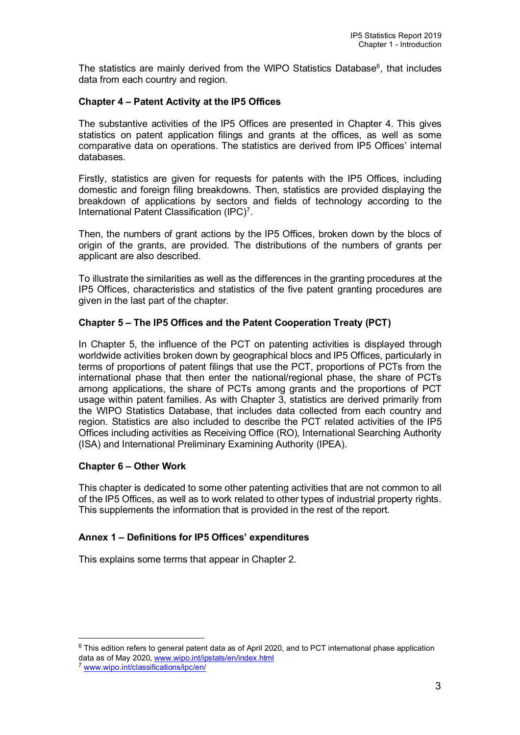The statistics are mainly derived from the WIPO Statistics Database<sup>6</sup>, that includes data from each country and region.

# **Chapter 4 – Patent Activity at the IP5 Offices**

The substantive activities of the IP5 Offices are presented in Chapter 4. This gives statistics on patent application filings and grants at the offices, as well as some comparative data on operations. The statistics are derived from IP5 Offices' internal databases.

Firstly, statistics are given for requests for patents with the IP5 Offices, including domestic and foreign filing breakdowns. Then, statistics are provided displaying the breakdown of applications by sectors and fields of technology according to the International Patent Classification (IPC)<sup>[7](#page-2-1)</sup>.

Then, the numbers of grant actions by the IP5 Offices, broken down by the blocs of origin of the grants, are provided. The distributions of the numbers of grants per applicant are also described.

To illustrate the similarities as well as the differences in the granting procedures at the IP5 Offices, characteristics and statistics of the five patent granting procedures are given in the last part of the chapter.

# **Chapter 5 – The IP5 Offices and the Patent Cooperation Treaty (PCT)**

In Chapter 5, the influence of the PCT on patenting activities is displayed through worldwide activities broken down by geographical blocs and IP5 Offices, particularly in terms of proportions of patent filings that use the PCT, proportions of PCTs from the international phase that then enter the national/regional phase, the share of PCTs among applications, the share of PCTs among grants and the proportions of PCT usage within patent families. As with Chapter 3, statistics are derived primarily from the WIPO Statistics Database, that includes data collected from each country and region. Statistics are also included to describe the PCT related activities of the IP5 Offices including activities as Receiving Office (RO), International Searching Authority (ISA) and International Preliminary Examining Authority (IPEA).

# **Chapter 6 – Other Work**

This chapter is dedicated to some other patenting activities that are not common to all of the IP5 Offices, as well as to work related to other types of industrial property rights. This supplements the information that is provided in the rest of the report.

# **Annex 1 – Definitions for IP5 Offices' expenditures**

This explains some terms that appear in Chapter 2.

<span id="page-2-0"></span> $6$  This edition refers to general patent data as of April 2020, and to PCT international phase application data as of May 2020[, www.wipo.int/ipstats/en/index.html](http://www.wipo.int/ipstats/en/index.html)

<span id="page-2-1"></span><sup>&</sup>lt;sup>7</sup> [www.wipo.int/classifications/ipc/en/](http://www.wipo.int/classifications/ipc/en/)